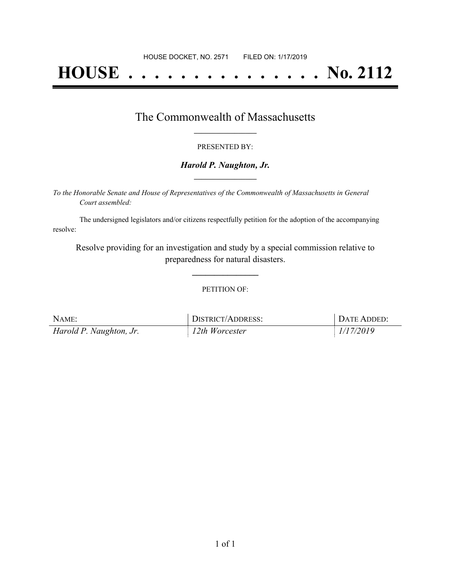# **HOUSE . . . . . . . . . . . . . . . No. 2112**

## The Commonwealth of Massachusetts **\_\_\_\_\_\_\_\_\_\_\_\_\_\_\_\_\_**

#### PRESENTED BY:

#### *Harold P. Naughton, Jr.* **\_\_\_\_\_\_\_\_\_\_\_\_\_\_\_\_\_**

*To the Honorable Senate and House of Representatives of the Commonwealth of Massachusetts in General Court assembled:*

The undersigned legislators and/or citizens respectfully petition for the adoption of the accompanying resolve:

Resolve providing for an investigation and study by a special commission relative to preparedness for natural disasters.

**\_\_\_\_\_\_\_\_\_\_\_\_\_\_\_**

#### PETITION OF:

| NAME:                   | DISTRICT/ADDRESS: | DATE ADDED: |
|-------------------------|-------------------|-------------|
| Harold P. Naughton, Jr. | 12th Worcester    | 1/17/2019   |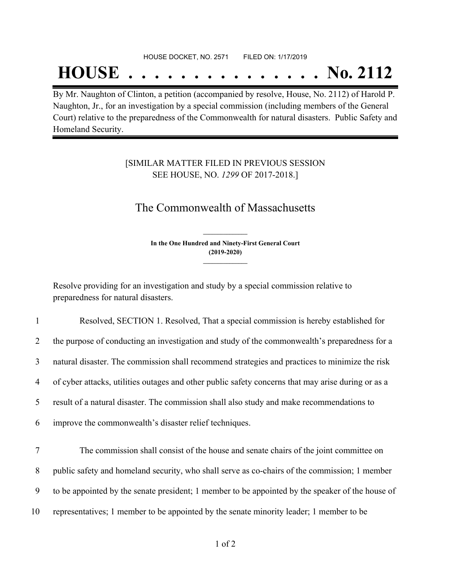#### HOUSE DOCKET, NO. 2571 FILED ON: 1/17/2019

## **HOUSE . . . . . . . . . . . . . . . No. 2112**

By Mr. Naughton of Clinton, a petition (accompanied by resolve, House, No. 2112) of Harold P. Naughton, Jr., for an investigation by a special commission (including members of the General Court) relative to the preparedness of the Commonwealth for natural disasters. Public Safety and Homeland Security.

### [SIMILAR MATTER FILED IN PREVIOUS SESSION SEE HOUSE, NO. *1299* OF 2017-2018.]

## The Commonwealth of Massachusetts

**In the One Hundred and Ninety-First General Court (2019-2020) \_\_\_\_\_\_\_\_\_\_\_\_\_\_\_**

**\_\_\_\_\_\_\_\_\_\_\_\_\_\_\_**

Resolve providing for an investigation and study by a special commission relative to preparedness for natural disasters.

 Resolved, SECTION 1. Resolved, That a special commission is hereby established for the purpose of conducting an investigation and study of the commonwealth's preparedness for a natural disaster. The commission shall recommend strategies and practices to minimize the risk of cyber attacks, utilities outages and other public safety concerns that may arise during or as a result of a natural disaster. The commission shall also study and make recommendations to improve the commonwealth's disaster relief techniques.

 The commission shall consist of the house and senate chairs of the joint committee on public safety and homeland security, who shall serve as co-chairs of the commission; 1 member to be appointed by the senate president; 1 member to be appointed by the speaker of the house of representatives; 1 member to be appointed by the senate minority leader; 1 member to be